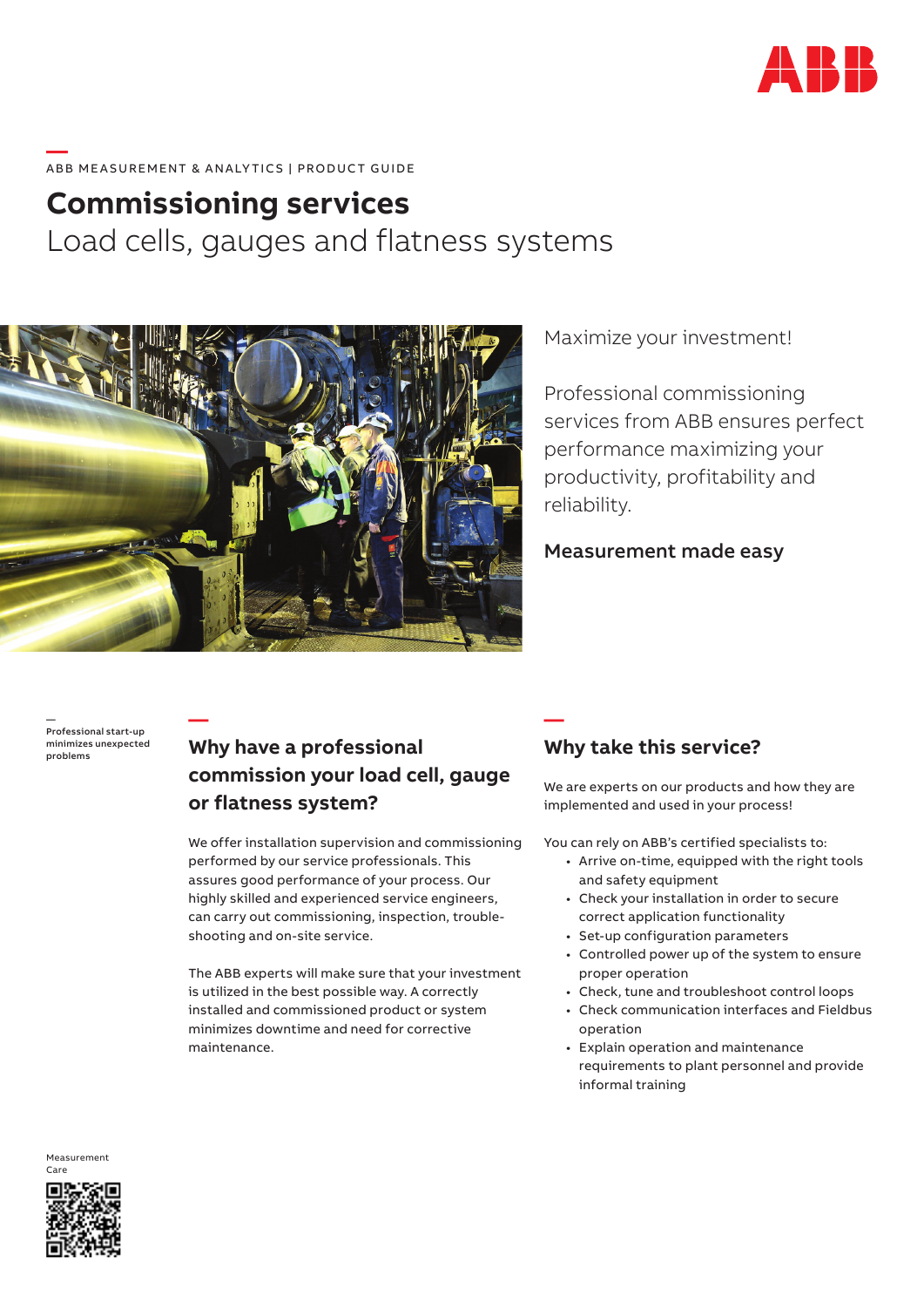

#### **—**  ABB MEASUREMENT & ANALYTICS | PRODUCT GUIDE

# **Commissioning services** Load cells, gauges and flatness systems



Maximize your investment!

Professional commissioning services from ABB ensures perfect performance maximizing your productivity, profitability and reliability.

### Measurement made easy

— Professional start-up minimizes unexpected problems

**—**

## **Why have a professional commission your load cell, gauge or flatness system?**

We offer installation supervision and commissioning performed by our service professionals. This assures good performance of your process. Our highly skilled and experienced service engineers, can carry out commissioning, inspection, troubleshooting and on-site service.

The ABB experts will make sure that your investment is utilized in the best possible way. A correctly installed and commissioned product or system minimizes downtime and need for corrective maintenance.

## **Why take this service?**

**—**

We are experts on our products and how they are implemented and used in your process!

You can rely on ABB's certified specialists to:

- Arrive on-time, equipped with the right tools and safety equipment
- Check your installation in order to secure correct application functionality
- Set-up configuration parameters
- Controlled power up of the system to ensure proper operation
- Check, tune and troubleshoot control loops
- Check communication interfaces and Fieldbus operation
- Explain operation and maintenance requirements to plant personnel and provide informal training

Measurement Care